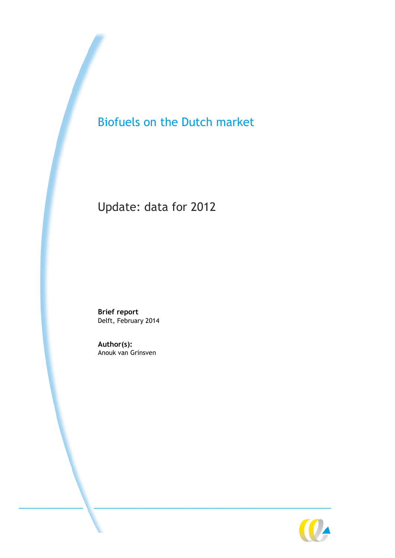# Biofuels on the Dutch market

# Update: data for 2012

**Brief report** Delft, February 2014

**Author(s):** Anouk van Grinsven

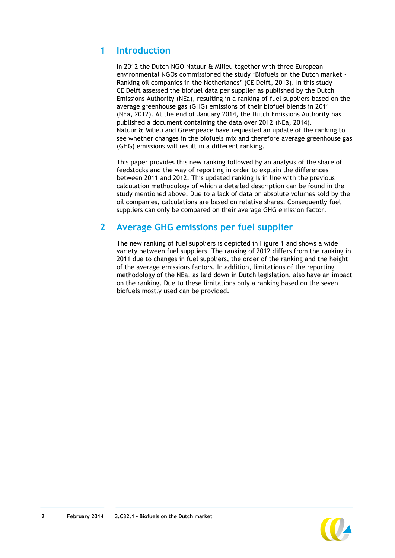## **1 Introduction**

In 2012 the Dutch NGO Natuur & Milieu together with three European environmental NGOs commissioned the study 'Biofuels on the Dutch market - Ranking oil companies in the Netherlands' (CE Delft, 2013). In this study CE Delft assessed the biofuel data per supplier as published by the Dutch Emissions Authority (NEa), resulting in a ranking of fuel suppliers based on the average greenhouse gas (GHG) emissions of their biofuel blends in 2011 (NEa, 2012). At the end of January 2014, the Dutch Emissions Authority has published a document containing the data over 2012 (NEa, 2014). Natuur & Milieu and Greenpeace have requested an update of the ranking to see whether changes in the biofuels mix and therefore average greenhouse gas (GHG) emissions will result in a different ranking.

This paper provides this new ranking followed by an analysis of the share of feedstocks and the way of reporting in order to explain the differences between 2011 and 2012. This updated ranking is in line with the previous calculation methodology of which a detailed description can be found in the study mentioned above. Due to a lack of data on absolute volumes sold by the oil companies, calculations are based on relative shares. Consequently fuel suppliers can only be compared on their average GHG emission factor.

## **2 Average GHG emissions per fuel supplier**

The new ranking of fuel suppliers is depicted in [Figure 1](#page-2-0) and shows a wide variety between fuel suppliers. The ranking of 2012 differs from the ranking in 2011 due to changes in fuel suppliers, the order of the ranking and the height of the average emissions factors. In addition, limitations of the reporting methodology of the NEa, as laid down in Dutch legislation, also have an impact on the ranking. Due to these limitations only a ranking based on the seven biofuels mostly used can be provided.

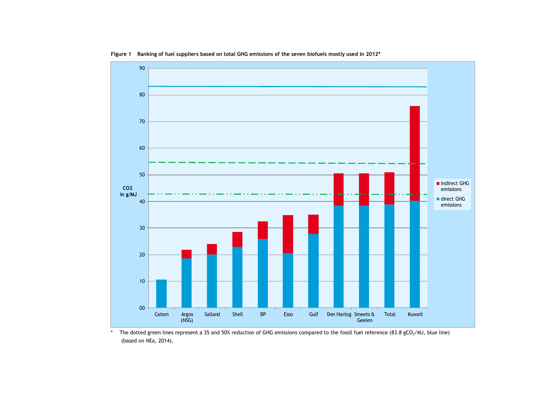

**Figure 1 Ranking of fuel suppliers based on total GHG emissions of the seven biofuels mostly used in 2012\***

<span id="page-2-0"></span>\* The dotted green lines represent a 35 and 50% reduction of GHG emissions compared to the fossil fuel reference (83.8 gCO2/MJ, blue line) (based on NEa, 2014).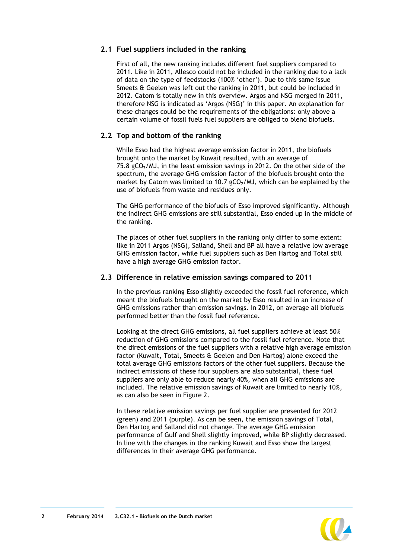#### **2.1 Fuel suppliers included in the ranking**

First of all, the new ranking includes different fuel suppliers compared to 2011. Like in 2011, Allesco could not be included in the ranking due to a lack of data on the type of feedstocks (100% 'other'). Due to this same issue Smeets & Geelen was left out the ranking in 2011, but could be included in 2012. Catom is totally new in this overview. Argos and NSG merged in 2011, therefore NSG is indicated as 'Argos (NSG)' in this paper. An explanation for these changes could be the requirements of the obligations: only above a certain volume of fossil fuels fuel suppliers are obliged to blend biofuels.

#### **2.2 Top and bottom of the ranking**

While Esso had the highest average emission factor in 2011, the biofuels brought onto the market by Kuwait resulted, with an average of 75.8 gCO $_2$ /MJ, in the least emission savings in 2012. On the other side of the spectrum, the average GHG emission factor of the biofuels brought onto the market by Catom was limited to 10.7  $gCO<sub>2</sub>/M$ , which can be explained by the use of biofuels from waste and residues only.

The GHG performance of the biofuels of Esso improved significantly. Although the indirect GHG emissions are still substantial, Esso ended up in the middle of the ranking.

The places of other fuel suppliers in the ranking only differ to some extent: like in 2011 Argos (NSG), Salland, Shell and BP all have a relative low average GHG emission factor, while fuel suppliers such as Den Hartog and Total still have a high average GHG emission factor.

#### **2.3 Difference in relative emission savings compared to 2011**

In the previous ranking Esso slightly exceeded the fossil fuel reference, which meant the biofuels brought on the market by Esso resulted in an increase of GHG emissions rather than emission savings. In 2012, on average all biofuels performed better than the fossil fuel reference.

Looking at the direct GHG emissions, all fuel suppliers achieve at least 50% reduction of GHG emissions compared to the fossil fuel reference. Note that the direct emissions of the fuel suppliers with a relative high average emission factor (Kuwait, Total, Smeets & Geelen and Den Hartog) alone exceed the total average GHG emissions factors of the other fuel suppliers. Because the indirect emissions of these four suppliers are also substantial, these fuel suppliers are only able to reduce nearly 40%, when all GHG emissions are included. The relative emission savings of Kuwait are limited to nearly 10%, as can also be seen in [Figure 2.](#page-4-0)

In these relative emission savings per fuel supplier are presented for 2012 (green) and 2011 (purple). As can be seen, the emission savings of Total, Den Hartog and Salland did not change. The average GHG emission performance of Gulf and Shell slightly improved, while BP slightly decreased. In line with the changes in the ranking Kuwait and Esso show the largest differences in their average GHG performance.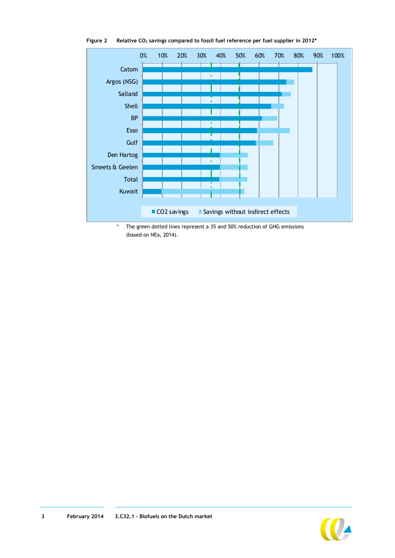

<span id="page-4-0"></span>**Figure 2 Relative CO<sup>2</sup> savings compared to fossil fuel reference per fuel supplier in 2012\***

\* The green dotted lines represent a 35 and 50% reduction of GHG emissions (based on NEa, 2014).

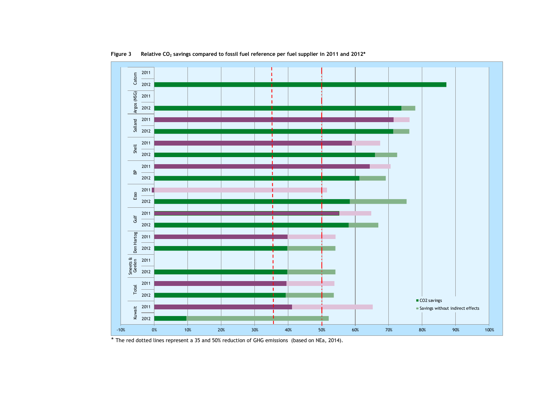

**Figure 3 Relative CO<sup>2</sup> savings compared to fossil fuel reference per fuel supplier in 2011 and 2012\***

\* The red dotted lines represent a 35 and 50% reduction of GHG emissions (based on NEa, 2014).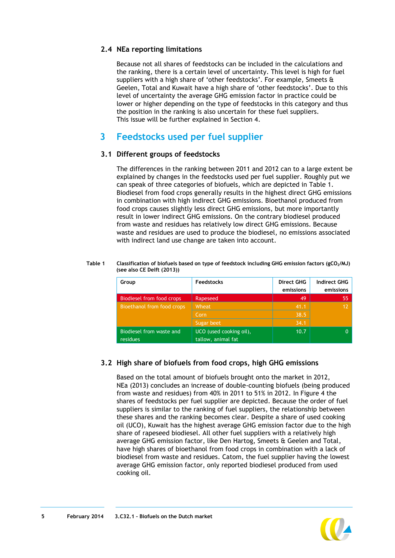#### **2.4 NEa reporting limitations**

Because not all shares of feedstocks can be included in the calculations and the ranking, there is a certain level of uncertainty. This level is high for fuel suppliers with a high share of 'other feedstocks'. For example, Smeets & Geelen, Total and Kuwait have a high share of 'other feedstocks'. Due to this level of uncertainty the average GHG emission factor in practice could be lower or higher depending on the type of feedstocks in this category and thus the position in the ranking is also uncertain for these fuel suppliers. This issue will be further explained in Section [4.](#page-8-0)

## **3 Feedstocks used per fuel supplier**

#### **3.1 Different groups of feedstocks**

The differences in the ranking between 2011 and 2012 can to a large extent be explained by changes in the feedstocks used per fuel supplier. Roughly put we can speak of three categories of biofuels, which are depicted in [Table 1.](#page-6-0) Biodiesel from food crops generally results in the highest direct GHG emissions in combination with high indirect GHG emissions. Bioethanol produced from food crops causes slightly less direct GHG emissions, but more importantly result in lower indirect GHG emissions. On the contrary biodiesel produced from waste and residues has relatively low direct GHG emissions. Because waste and residues are used to produce the biodiesel, no emissions associated with indirect land use change are taken into account.

#### <span id="page-6-0"></span>**Table 1 Classification of biofuels based on type of feedstock including GHG emission factors (gCO2/MJ) (see also CE Delft (2013))**

| Group                      | <b>Feedstocks</b>       | <b>Direct GHG</b> | <b>Indirect GHG</b> |
|----------------------------|-------------------------|-------------------|---------------------|
|                            |                         | emissions         | emissions           |
| Biodiesel from food crops  | Rapeseed                | 49                | 55                  |
| Bioethanol from food crops | Wheat,                  | 41.1              |                     |
|                            | Corn                    | 38.5              |                     |
|                            | Sugar beet              | 34.1              |                     |
| Biodiesel from waste and   | UCO (used cooking oil), | 10.7              |                     |
| residues                   | tallow, animal fat      |                   |                     |

### **3.2 High share of biofuels from food crops, high GHG emissions**

Based on the total amount of biofuels brought onto the market in 2012, NEa (2013) concludes an increase of double-counting biofuels (being produced from waste and residues) from 40% in 2011 to 51% in 2012. In [Figure 4](#page-7-0) the shares of feedstocks per fuel supplier are depicted. Because the order of fuel suppliers is similar to the ranking of fuel suppliers, the relationship between these shares and the ranking becomes clear. Despite a share of used cooking oil (UCO), Kuwait has the highest average GHG emission factor due to the high share of rapeseed biodiesel. All other fuel suppliers with a relatively high average GHG emission factor, like Den Hartog, Smeets & Geelen and Total, have high shares of bioethanol from food crops in combination with a lack of biodiesel from waste and residues. Catom, the fuel supplier having the lowest average GHG emission factor, only reported biodiesel produced from used cooking oil.

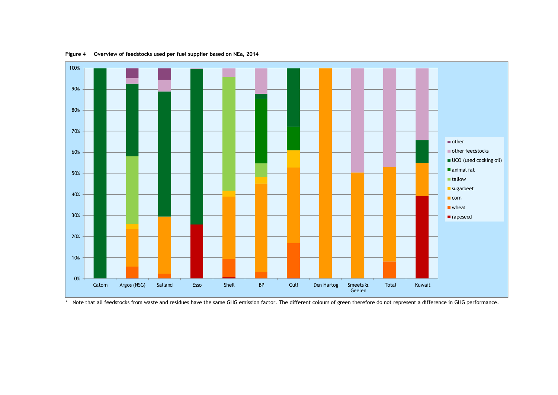

**Figure 4 Overview of feedstocks used per fuel supplier based on NEa, 2014**

<span id="page-7-0"></span>\* Note that all feedstocks from waste and residues have the same GHG emission factor. The different colours of green therefore do not represent a difference in GHG performance.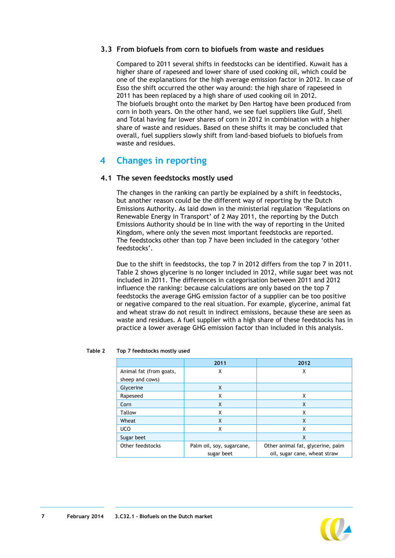#### **3.3 From biofuels from corn to biofuels from waste and residues**

Compared to 2011 several shifts in feedstocks can be identified. Kuwait has a higher share of rapeseed and lower share of used cooking oil, which could be one of the explanations for the high average emission factor in 2012. In case of Esso the shift occurred the other way around: the high share of rapeseed in 2011 has been replaced by a high share of used cooking oil in 2012. The biofuels brought onto the market by Den Hartog have been produced from corn in both years. On the other hand, we see fuel suppliers like Gulf, Shell and Total having far lower shares of corn in 2012 in combination with a higher share of waste and residues. Based on these shifts it may be concluded that overall, fuel suppliers slowly shift from land-based biofuels to biofuels from waste and residues.

## <span id="page-8-0"></span>**4 Changes in reporting**

#### <span id="page-8-2"></span>**4.1 The seven feedstocks mostly used**

The changes in the ranking can partly be explained by a shift in feedstocks, but another reason could be the different way of reporting by the Dutch Emissions Authority. As laid down in the ministerial regulation 'Regulations on Renewable Energy in Transport' of 2 May 2011, the reporting by the Dutch Emissions Authority should be in line with the way of reporting in the United Kingdom, where only the seven most important feedstocks are reported. The feedstocks other than top 7 have been included in the category 'other feedstocks'.

Due to the shift in feedstocks, the top 7 in 2012 differs from the top 7 in 2011. [Table 2](#page-8-1) shows glycerine is no longer included in 2012, while sugar beet was not included in 2011. The differences in categorisation between 2011 and 2012 influence the ranking: because calculations are only based on the top 7 feedstocks the average GHG emission factor of a supplier can be too positive or negative compared to the real situation. For example, glycerine, animal fat and wheat straw do not result in indirect emissions, because these are seen as waste and residues. A fuel supplier with a high share of these feedstocks has in practice a lower average GHG emission factor than included in this analysis.

|                         | 2011                      | 2012                              |
|-------------------------|---------------------------|-----------------------------------|
| Animal fat (from goats, | Χ                         | Χ                                 |
| sheep and cows)         |                           |                                   |
| Glycerine               | X                         |                                   |
| Rapeseed                | X                         | X                                 |
| Corn                    | X                         | X                                 |
| Tallow                  | x                         | x                                 |
| Wheat                   | X                         | X                                 |
| <b>UCO</b>              | Χ                         | X                                 |
| Sugar beet              |                           | X                                 |
| Other feedstocks        | Palm oil, soy, sugarcane, | Other animal fat, glycerine, palm |
|                         | sugar beet                | oil, sugar cane, wheat straw      |

#### <span id="page-8-1"></span>**Table 2 Top 7 feedstocks mostly used**

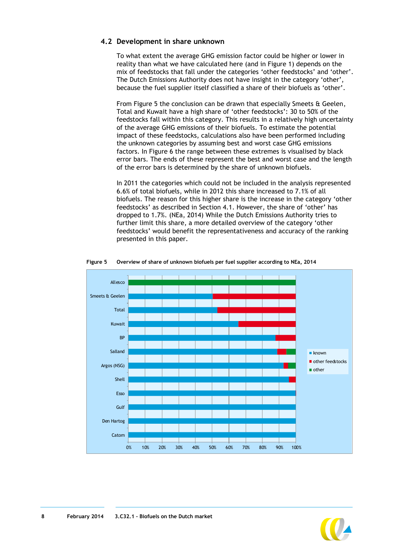#### **4.2 Development in share unknown**

To what extent the average GHG emission factor could be higher or lower in reality than what we have calculated here (and in Figure 1) depends on the mix of feedstocks that fall under the categories 'other feedstocks' and 'other'. The Dutch Emissions Authority does not have insight in the category 'other', because the fuel supplier itself classified a share of their biofuels as 'other'.

From [Figure 5](#page-9-0) the conclusion can be drawn that especially Smeets & Geelen, Total and Kuwait have a high share of 'other feedstocks': 30 to 50% of the feedstocks fall within this category. This results in a relatively high uncertainty of the average GHG emissions of their biofuels. To estimate the potential impact of these feedstocks, calculations also have been performed including the unknown categories by assuming best and worst case GHG emissions factors. In [Figure 6](#page-10-0) the range between these extremes is visualised by black error bars. The ends of these represent the best and worst case and the length of the error bars is determined by the share of unknown biofuels.

In 2011 the categories which could not be included in the analysis represented 6.6% of total biofuels, while in 2012 this share increased to 7.1% of all biofuels. The reason for this higher share is the increase in the category 'other feedstocks' as described in Section [4.1.](#page-8-2) However, the share of 'other' has dropped to 1.7%. (NEa, 2014) While the Dutch Emissions Authority tries to further limit this share, a more detailed overview of the category 'other feedstocks' would benefit the representativeness and accuracy of the ranking presented in this paper.

<span id="page-9-0"></span>

**Figure 5 Overview of share of unknown biofuels per fuel supplier according to NEa, 2014** 

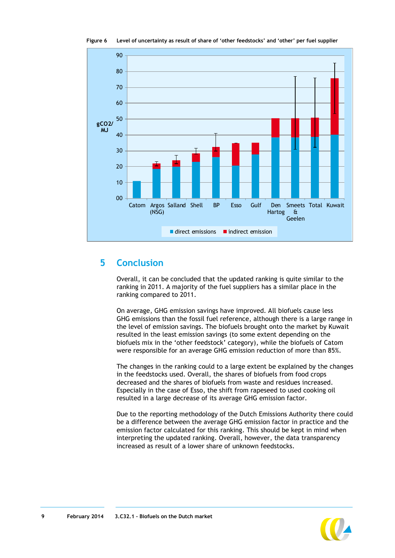<span id="page-10-0"></span>

**Figure 6 Level of uncertainty as result of share of 'other feedstocks' and 'other' per fuel supplier**

## **5 Conclusion**

Overall, it can be concluded that the updated ranking is quite similar to the ranking in 2011. A majority of the fuel suppliers has a similar place in the ranking compared to 2011.

On average, GHG emission savings have improved. All biofuels cause less GHG emissions than the fossil fuel reference, although there is a large range in the level of emission savings. The biofuels brought onto the market by Kuwait resulted in the least emission savings (to some extent depending on the biofuels mix in the 'other feedstock' category), while the biofuels of Catom were responsible for an average GHG emission reduction of more than 85%.

The changes in the ranking could to a large extent be explained by the changes in the feedstocks used. Overall, the shares of biofuels from food crops decreased and the shares of biofuels from waste and residues increased. Especially in the case of Esso, the shift from rapeseed to used cooking oil resulted in a large decrease of its average GHG emission factor.

Due to the reporting methodology of the Dutch Emissions Authority there could be a difference between the average GHG emission factor in practice and the emission factor calculated for this ranking. This should be kept in mind when interpreting the updated ranking. Overall, however, the data transparency increased as result of a lower share of unknown feedstocks.